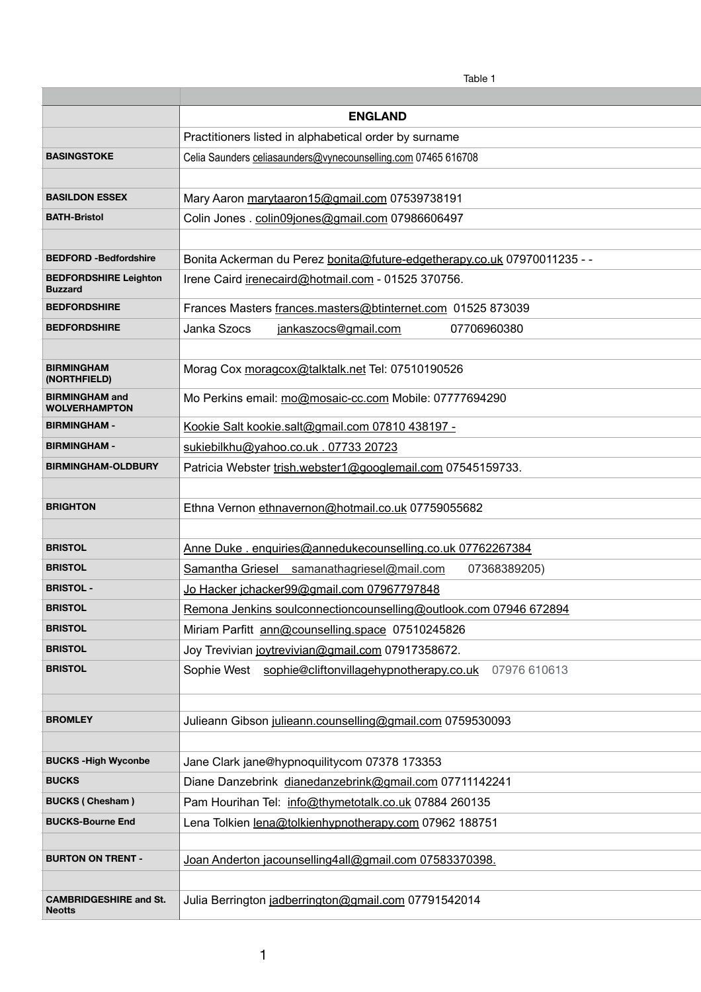|                                                | Table 1                                                                  |
|------------------------------------------------|--------------------------------------------------------------------------|
|                                                |                                                                          |
|                                                | <b>ENGLAND</b>                                                           |
|                                                | Practitioners listed in alphabetical order by surname                    |
| <b>BASINGSTOKE</b>                             | Celia Saunders celiasaunders@vynecounselling.com 07465 616708            |
|                                                |                                                                          |
| <b>BASILDON ESSEX</b>                          | Mary Aaron marytaaron15@gmail.com 07539738191                            |
| <b>BATH-Bristol</b>                            | Colin Jones. colin09jones@gmail.com 07986606497                          |
|                                                |                                                                          |
| <b>BEDFORD -Bedfordshire</b>                   | Bonita Ackerman du Perez bonita@future-edgetherapy.co.uk 07970011235 - - |
| <b>BEDFORDSHIRE Leighton</b><br><b>Buzzard</b> | Irene Caird irenecaird@hotmail.com - 01525 370756.                       |
| <b>BEDFORDSHIRE</b>                            | Frances Masters frances.masters@btinternet.com 01525 873039              |
| <b>BEDFORDSHIRE</b>                            | <b>Janka Szocs</b><br>jankaszocs@gmail.com<br>07706960380                |
|                                                |                                                                          |
| <b>BIRMINGHAM</b><br>(NORTHFIELD)              | Morag Cox moragcox@talktalk.net Tel: 07510190526                         |
| <b>BIRMINGHAM and</b><br><b>WOLVERHAMPTON</b>  | Mo Perkins email: mo@mosaic-cc.com Mobile: 07777694290                   |
| <b>BIRMINGHAM -</b>                            | Kookie Salt kookie.salt@gmail.com 07810 438197 -                         |
| <b>BIRMINGHAM -</b>                            | sukiebilkhu@yahoo.co.uk. 07733 20723                                     |
| <b>BIRMINGHAM-OLDBURY</b>                      | Patricia Webster trish.webster1@googlemail.com 07545159733.              |
|                                                |                                                                          |
| <b>BRIGHTON</b>                                | Ethna Vernon ethnavernon@hotmail.co.uk 07759055682                       |
|                                                |                                                                          |
| <b>BRISTOL</b>                                 | Anne Duke . enquiries@annedukecounselling.co.uk 07762267384              |
| <b>BRISTOL</b>                                 | Samantha Griesel samanathagriesel@mail.com<br>07368389205)               |
| <b>BRISTOL -</b>                               | <u>Jo Hacker jchacker99@gmail.com 07967797848</u>                        |
| <b>BRISTOL</b>                                 | Remona Jenkins soulconnectioncounselling@outlook.com 07946 672894        |
| <b>BRISTOL</b>                                 | Miriam Parfitt ann@counselling.space 07510245826                         |
| <b>BRISTOL</b>                                 | Joy Trevivian joytrevivian@gmail.com 07917358672.                        |
| <b>BRISTOL</b>                                 | Sophie West sophie@cliftonvillagehypnotherapy.co.uk 07976 610613         |
|                                                |                                                                          |
| <b>BROMLEY</b>                                 |                                                                          |
|                                                | Julieann Gibson julieann.counselling@gmail.com 0759530093                |
| <b>BUCKS-High Wyconbe</b>                      |                                                                          |
| <b>BUCKS</b>                                   | Jane Clark jane@hypnoquilitycom 07378 173353                             |
|                                                | Diane Danzebrink dianedanzebrink@gmail.com 07711142241                   |
| <b>BUCKS (Chesham)</b>                         | Pam Hourihan Tel: info@thymetotalk.co.uk 07884 260135                    |
| <b>BUCKS-Bourne End</b>                        | Lena Tolkien lena@tolkienhypnotherapy.com 07962 188751                   |
| <b>BURTON ON TRENT -</b>                       | Joan Anderton jacounselling4all@gmail.com 07583370398.                   |
|                                                |                                                                          |
| <b>CAMBRIDGESHIRE and St.</b>                  | Julia Berrington jadberrington@gmail.com 07791542014                     |
| <b>Neotts</b>                                  |                                                                          |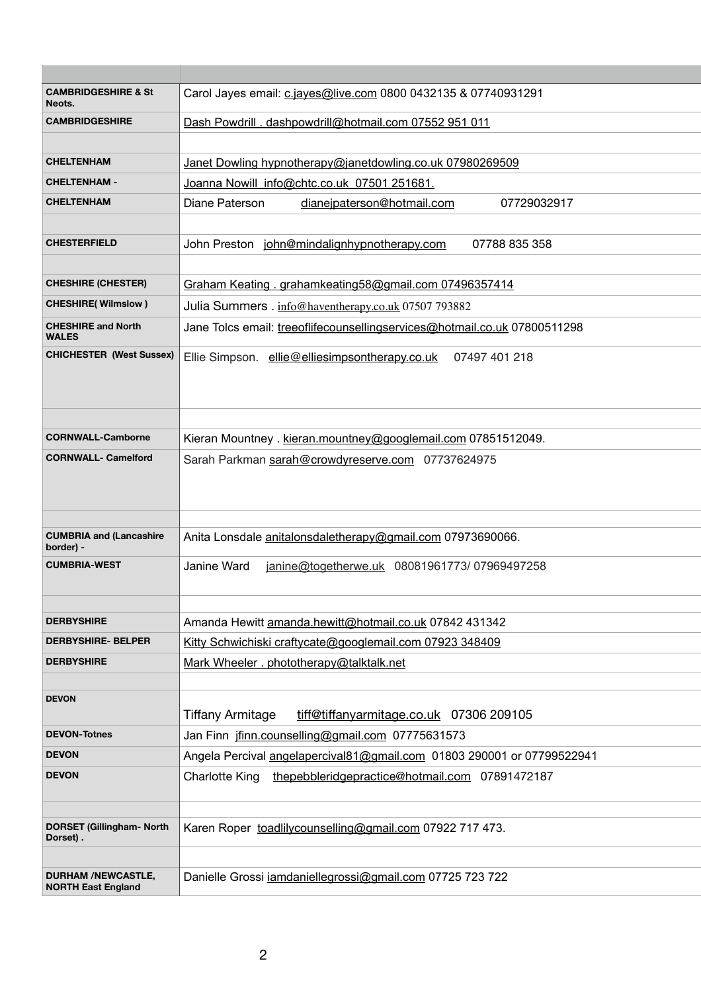| <b>CAMBRIDGESHIRE &amp; St</b><br>Neots.               | Carol Jayes email: c.jayes@live.com 0800 0432135 & 07740931291            |
|--------------------------------------------------------|---------------------------------------------------------------------------|
| <b>CAMBRIDGESHIRE</b>                                  | Dash Powdrill . dashpowdrill@hotmail.com 07552 951 011                    |
|                                                        |                                                                           |
| <b>CHELTENHAM</b>                                      | Janet Dowling hypnotherapy@janetdowling.co.uk 07980269509                 |
| <b>CHELTENHAM -</b>                                    | Joanna Nowill info@chtc.co.uk 07501 251681.                               |
| <b>CHELTENHAM</b>                                      | Diane Paterson<br>dianeipaterson@hotmail.com<br>07729032917               |
|                                                        |                                                                           |
| <b>CHESTERFIELD</b>                                    | 07788 835 358<br>John Preston john@mindalignhypnotherapy.com              |
|                                                        |                                                                           |
| <b>CHESHIRE (CHESTER)</b>                              | Graham Keating . grahamkeating 58@gmail.com 07496357414                   |
| <b>CHESHIRE(Wilmslow)</b>                              | Julia Summers. info@haventherapy.co.uk 07507 793882                       |
| <b>CHESHIRE and North</b><br><b>WALES</b>              | Jane Tolcs email: treeoflifecounsellingservices@hotmail.co.uk 07800511298 |
| <b>CHICHESTER (West Sussex)</b>                        | Ellie Simpson. ellie@elliesimpsontherapy.co.uk 07497 401 218              |
|                                                        |                                                                           |
| <b>CORNWALL-Camborne</b>                               |                                                                           |
|                                                        | Kieran Mountney . kieran.mountney@googlemail.com 07851512049.             |
| <b>CORNWALL- Camelford</b>                             | Sarah Parkman sarah@crowdyreserve.com 07737624975                         |
|                                                        |                                                                           |
| <b>CUMBRIA and (Lancashire</b><br>border) -            | Anita Lonsdale anitalonsdaletherapy@gmail.com 07973690066.                |
| <b>CUMBRIA-WEST</b>                                    | Janine Ward<br>janine@togetherwe.uk 08081961773/07969497258               |
|                                                        |                                                                           |
| <b>DERBYSHIRE</b>                                      | Amanda Hewitt amanda.hewitt@hotmail.co.uk 07842 431342                    |
| <b>DERBYSHIRE- BELPER</b>                              | Kitty Schwichiski craftycate@googlemail.com 07923 348409                  |
| <b>DERBYSHIRE</b>                                      | Mark Wheeler . phototherapy@talktalk.net                                  |
|                                                        |                                                                           |
| <b>DEVON</b>                                           | tiff@tiffanyarmitage.co.uk 07306 209105<br>Tiffany Armitage               |
| <b>DEVON-Totnes</b>                                    | Jan Finn jfinn.counselling@gmail.com 07775631573                          |
| <b>DEVON</b>                                           | Angela Percival angelapercival81@gmail.com 01803 290001 or 07799522941    |
| <b>DEVON</b>                                           | <b>Charlotte King</b><br>thepebbleridgepractice@hotmail.com 07891472187   |
|                                                        |                                                                           |
|                                                        |                                                                           |
| <b>DORSET (Gillingham- North</b><br>Dorset).           | Karen Roper toadlilycounselling@gmail.com 07922 717 473.                  |
| <b>DURHAM /NEWCASTLE,</b><br><b>NORTH East England</b> | Danielle Grossi jamdaniellegrossi@gmail.com 07725 723 722                 |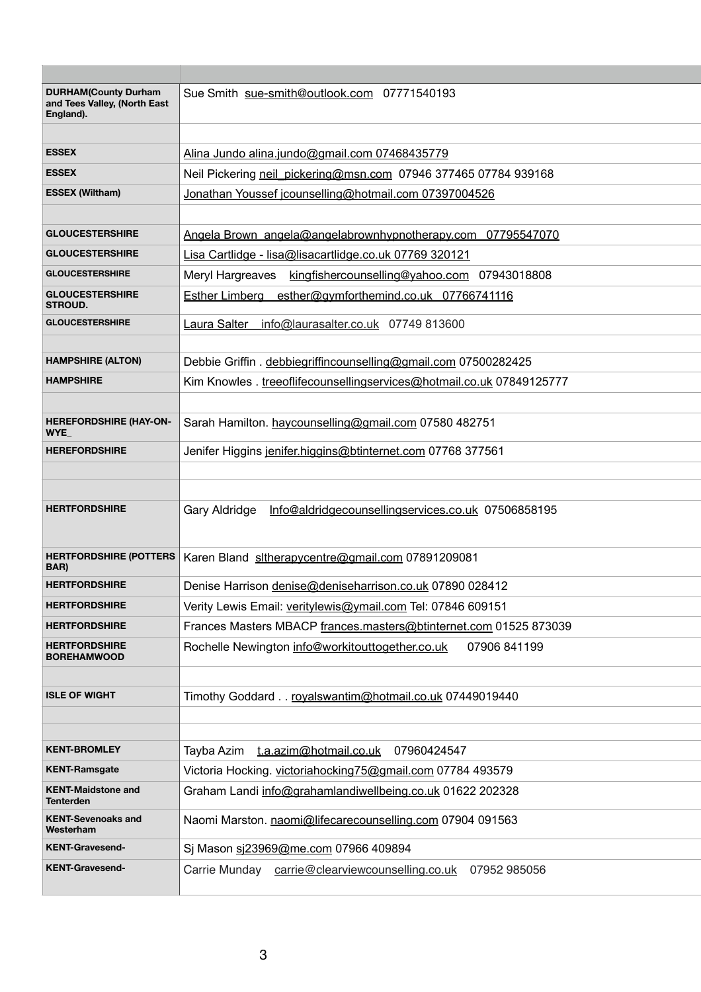| <b>DURHAM(County Durham</b><br>and Tees Valley, (North East<br>England). | Sue Smith sue-smith@outlook.com 07771540193                                |
|--------------------------------------------------------------------------|----------------------------------------------------------------------------|
|                                                                          |                                                                            |
| <b>ESSEX</b>                                                             | Alina Jundo alina.jundo@gmail.com 07468435779                              |
| <b>ESSEX</b>                                                             | Neil Pickering neil pickering@msn.com 07946 377465 07784 939168            |
| <b>ESSEX (Wiltham)</b>                                                   | Jonathan Youssef jcounselling@hotmail.com 07397004526                      |
|                                                                          |                                                                            |
| <b>GLOUCESTERSHIRE</b>                                                   | Angela Brown angela@angelabrownhypnotherapy.com<br>07795547070             |
| <b>GLOUCESTERSHIRE</b>                                                   | Lisa Cartlidge - lisa@lisacartlidge.co.uk 07769 320121                     |
| <b>GLOUCESTERSHIRE</b>                                                   | Meryl Hargreaves kingfishercounselling@yahoo.com 07943018808               |
| <b>GLOUCESTERSHIRE</b><br><b>STROUD.</b>                                 | Esther Limberg esther@gymforthemind.co.uk 07766741116                      |
| <b>GLOUCESTERSHIRE</b>                                                   | Laura Salter<br>info@laurasalter.co.uk 07749 813600                        |
|                                                                          |                                                                            |
| <b>HAMPSHIRE (ALTON)</b>                                                 | Debbie Griffin. debbiegriffincounselling@gmail.com 07500282425             |
| <b>HAMPSHIRE</b>                                                         | Kim Knowles . treeoflifecounsellingservices@hotmail.co.uk 07849125777      |
|                                                                          |                                                                            |
| <b>HEREFORDSHIRE (HAY-ON-</b><br>WYE_                                    | Sarah Hamilton. haycounselling@gmail.com 07580 482751                      |
| <b>HEREFORDSHIRE</b>                                                     | Jenifer Higgins jenifer.higgins@btinternet.com 07768 377561                |
|                                                                          |                                                                            |
|                                                                          |                                                                            |
| <b>HERTFORDSHIRE</b>                                                     | <b>Gary Aldridge</b><br>Info@aldridgecounsellingservices.co.uk 07506858195 |
|                                                                          |                                                                            |
| <b>HERTFORDSHIRE (POTTERS</b><br>BAR)                                    | Karen Bland sltherapycentre@gmail.com 07891209081                          |
| <b>HERTFORDSHIRE</b>                                                     | Denise Harrison denise@deniseharrison.co.uk 07890 028412                   |
| <b>HERTFORDSHIRE</b>                                                     | Verity Lewis Email: veritylewis@ymail.com Tel: 07846 609151                |
| <b>HERTFORDSHIRE</b>                                                     | Frances Masters MBACP frances.masters@btinternet.com 01525 873039          |
| <b>HERTFORDSHIRE</b><br><b>BOREHAMWOOD</b>                               | Rochelle Newington info@workitouttogether.co.uk<br>07906 841199            |
|                                                                          |                                                                            |
| <b>ISLE OF WIGHT</b>                                                     | Timothy Goddard royalswantim@hotmail.co.uk 07449019440                     |
|                                                                          |                                                                            |
|                                                                          |                                                                            |
| <b>KENT-BROMLEY</b>                                                      | Tayba Azim<br><u>t.a.azim@hotmail.co.uk</u><br>07960424547                 |

| <b>KENT-Ramsgate</b>                          | Victoria Hocking. victoriahocking75@gmail.com 07784 493579         |
|-----------------------------------------------|--------------------------------------------------------------------|
| <b>KENT-Maidstone and</b><br><b>Tenterden</b> | Graham Landi info@grahamlandiwellbeing.co.uk 01622 202328          |
| <b>KENT-Sevenoaks and</b><br>Westerham        | Naomi Marston. naomi@lifecarecounselling.com 07904 091563          |
| <b>KENT-Gravesend-</b>                        | Si Mason si23969@me.com 07966 409894                               |
| <b>KENT-Gravesend-</b>                        | carrie@clearviewcounselling.co.uk<br>Carrie Munday<br>07952 985056 |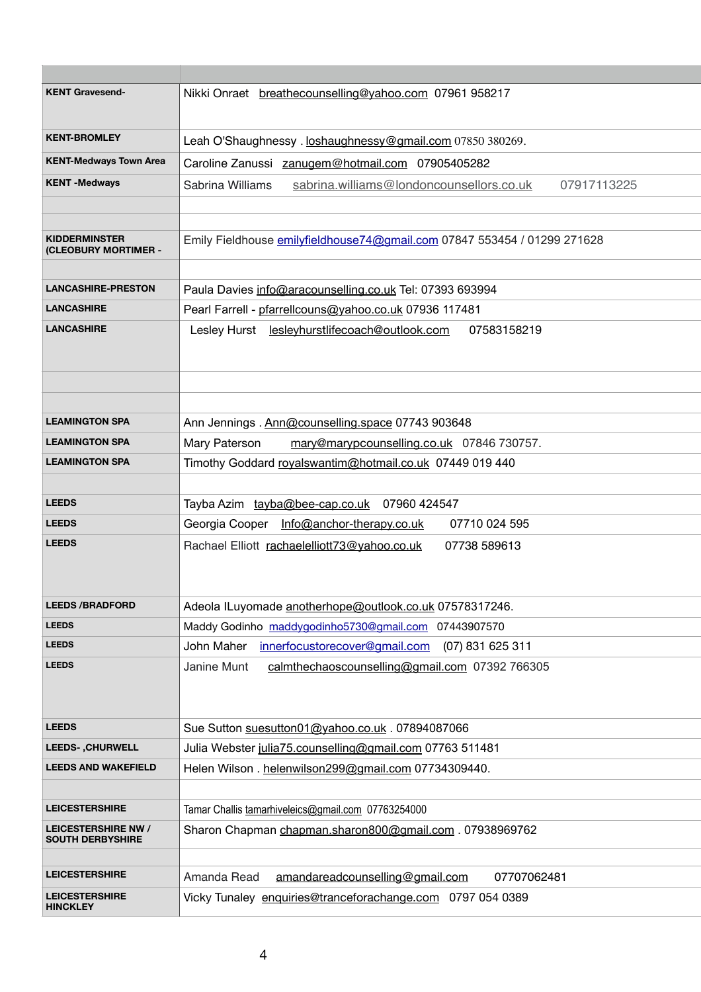| <b>KENT Gravesend-</b>                                | Nikki Onraet breathecounselling@yahoo.com 07961 958217                      |
|-------------------------------------------------------|-----------------------------------------------------------------------------|
| <b>KENT-BROMLEY</b>                                   | Leah O'Shaughnessy. loshaughnessy@gmail.com 07850 380269.                   |
| <b>KENT-Medways Town Area</b>                         | Caroline Zanussi zanugem@hotmail.com 07905405282                            |
| <b>KENT-Medways</b>                                   | sabrina.williams@londoncounsellors.co.uk<br>07917113225<br>Sabrina Williams |
|                                                       |                                                                             |
| <b>KIDDERMINSTER</b><br><b>(CLEOBURY MORTIMER -</b>   | Emily Fieldhouse emilyfieldhouse74@gmail.com 07847 553454 / 01299 271628    |
| <b>LANCASHIRE-PRESTON</b>                             | Paula Davies info@aracounselling.co.uk Tel: 07393 693994                    |
| <b>LANCASHIRE</b>                                     | Pearl Farrell - pfarrellcouns@yahoo.co.uk 07936 117481                      |
| <b>LANCASHIRE</b>                                     | Lesley Hurst<br><u>lesleyhurstlifecoach@outlook.com</u><br>07583158219      |
| <b>LEAMINGTON SPA</b>                                 | Ann Jennings . Ann@counselling.space 07743 903648                           |
| <b>LEAMINGTON SPA</b>                                 | Mary Paterson<br>mary@marypcounselling.co.uk 07846 730757.                  |
| <b>LEAMINGTON SPA</b>                                 | Timothy Goddard royalswantim@hotmail.co.uk 07449 019 440                    |
| <b>LEEDS</b>                                          | Tayba Azim tayba@bee-cap.co.uk 07960 424547                                 |
| <b>LEEDS</b>                                          | Georgia Cooper Info@anchor-therapy.co.uk<br>07710 024 595                   |
| <b>LEEDS</b>                                          | Rachael Elliott rachaelelliott73@yahoo.co.uk<br>07738 589613                |
| <b>LEEDS /BRADFORD</b>                                | Adeola ILuyomade anotherhope@outlook.co.uk 07578317246.                     |
| <b>LEEDS</b>                                          | Maddy Godinho maddygodinho5730@gmail.com 07443907570                        |
| <b>LEEDS</b>                                          | John Maher<br>innerfocustorecover@gmail.com (07) 831 625 311                |
| <b>LEEDS</b>                                          | calmthechaoscounselling@gmail.com 07392 766305<br>Janine Munt               |
| <b>LEEDS</b>                                          | Sue Sutton suesutton01@yahoo.co.uk. 07894087066                             |
| <b>LEEDS-, CHURWELL</b>                               | Julia Webster julia75.counselling@gmail.com 07763 511481                    |
| <b>LEEDS AND WAKEFIELD</b>                            | Helen Wilson. helenwilson299@gmail.com 07734309440.                         |
| <b>LEICESTERSHIRE</b>                                 | Tamar Challis tamarhiveleics@gmail.com 07763254000                          |
| <b>LEICESTERSHIRE NW /</b><br><b>SOUTH DERBYSHIRE</b> | Sharon Chapman chapman.sharon800@gmail.com . 07938969762                    |
| <b>LEICESTERSHIRE</b>                                 |                                                                             |
|                                                       | amandareadcounselling@gmail.com<br>Amanda Read<br>07707062481               |
| <b>LEICESTERSHIRE</b><br><b>HINCKLEY</b>              | Vicky Tunaley enquiries@tranceforachange.com 0797 054 0389                  |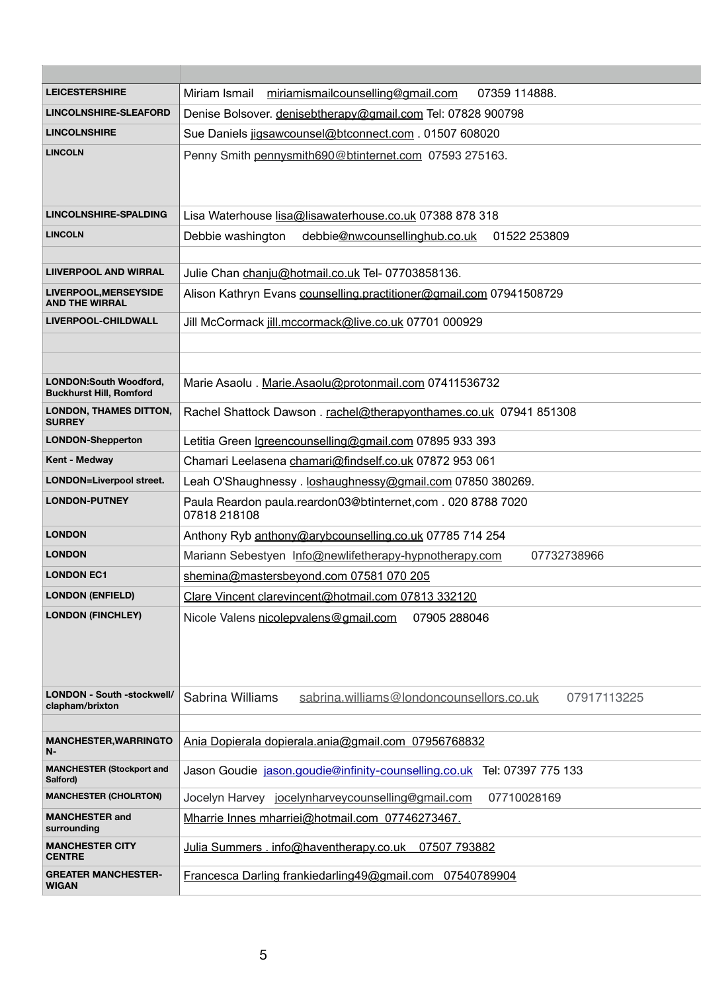| <b>LEICESTERSHIRE</b>                                           | Miriam Ismail<br>miriamismailcounselling@gmail.com<br>07359 114888.         |
|-----------------------------------------------------------------|-----------------------------------------------------------------------------|
| <b>LINCOLNSHIRE-SLEAFORD</b>                                    | Denise Bolsover. denisebtherapy@gmail.com Tel: 07828 900798                 |
| <b>LINCOLNSHIRE</b>                                             | Sue Daniels jigsawcounsel@btconnect.com . 01507 608020                      |
| <b>LINCOLN</b>                                                  | Penny Smith pennysmith690@btinternet.com 07593 275163.                      |
| <b>LINCOLNSHIRE-SPALDING</b>                                    | Lisa Waterhouse lisa@lisawaterhouse.co.uk 07388 878 318                     |
| <b>LINCOLN</b>                                                  | Debbie washington<br>debbie@nwcounsellinghub.co.uk<br>01522 253809          |
|                                                                 |                                                                             |
| <b>LIIVERPOOL AND WIRRAL</b>                                    | Julie Chan chanju@hotmail.co.uk Tel- 07703858136.                           |
| LIVERPOOL, MERSEYSIDE<br><b>AND THE WIRRAL</b>                  | Alison Kathryn Evans counselling.practitioner@gmail.com 07941508729         |
| LIVERPOOL-CHILDWALL                                             | Jill McCormack jill.mccormack@live.co.uk 07701 000929                       |
|                                                                 |                                                                             |
|                                                                 |                                                                             |
| <b>LONDON:South Woodford,</b><br><b>Buckhurst Hill, Romford</b> | Marie Asaolu . Marie.Asaolu@protonmail.com 07411536732                      |
| <b>LONDON, THAMES DITTON,</b><br><b>SURREY</b>                  | Rachel Shattock Dawson. rachel@therapyonthames.co.uk 07941 851308           |
| <b>LONDON-Shepperton</b>                                        | Letitia Green Igreencounselling@gmail.com 07895 933 393                     |
| <b>Kent - Medway</b>                                            | Chamari Leelasena chamari@findself.co.uk 07872 953 061                      |
| <b>LONDON=Liverpool street.</b>                                 | Leah O'Shaughnessy. loshaughnessy@gmail.com 07850 380269.                   |
| <b>LONDON-PUTNEY</b>                                            | Paula Reardon paula.reardon03@btinternet,com. 020 8788 7020<br>07818 218108 |
| <b>LONDON</b>                                                   | Anthony Ryb anthony@arybcounselling.co.uk 07785 714 254                     |
| <b>LONDON</b>                                                   | Mariann Sebestyen Info@newlifetherapy-hypnotherapy.com<br>07732738966       |
| <b>LONDON EC1</b>                                               | shemina@mastersbeyond.com 07581 070 205                                     |
| <b>LONDON (ENFIELD)</b>                                         | Clare Vincent clarevincent@hotmail.com 07813 332120                         |
| <b>LONDON (FINCHLEY)</b>                                        | Nicole Valens nicolepvalens@gmail.com<br>07905 288046                       |
| <b>LONDON - South -stockwell/</b><br>clapham/brixton            | Sabrina Williams<br>sabrina.williams@londoncounsellors.co.uk<br>07917113225 |
|                                                                 |                                                                             |
| <b>MANCHESTER, WARRINGTO</b><br>$N-$                            | Ania Dopierala dopierala.ania@gmail.com 07956768832                         |

| <b>MANCHESTER (Stockport and</b><br>Salford) | Jason Goudie jason.goudie@infinity-counselling.co.uk Tel: 07397 775 133 |
|----------------------------------------------|-------------------------------------------------------------------------|
| <b>MANCHESTER (CHOLRTON)</b>                 | Jocelyn Harvey jocelynharvey counselling@gmail.com<br>07710028169       |
| <b>MANCHESTER and</b><br>surrounding         | Mharrie Innes mharriei@hotmail.com 07746273467.                         |
| <b>MANCHESTER CITY</b><br><b>CENTRE</b>      | Julia Summers . info@haventherapy.co.uk 07507 793882                    |
| <b>GREATER MANCHESTER-</b><br><b>WIGAN</b>   | Francesca Darling frankiedarling49@gmail.com 07540789904                |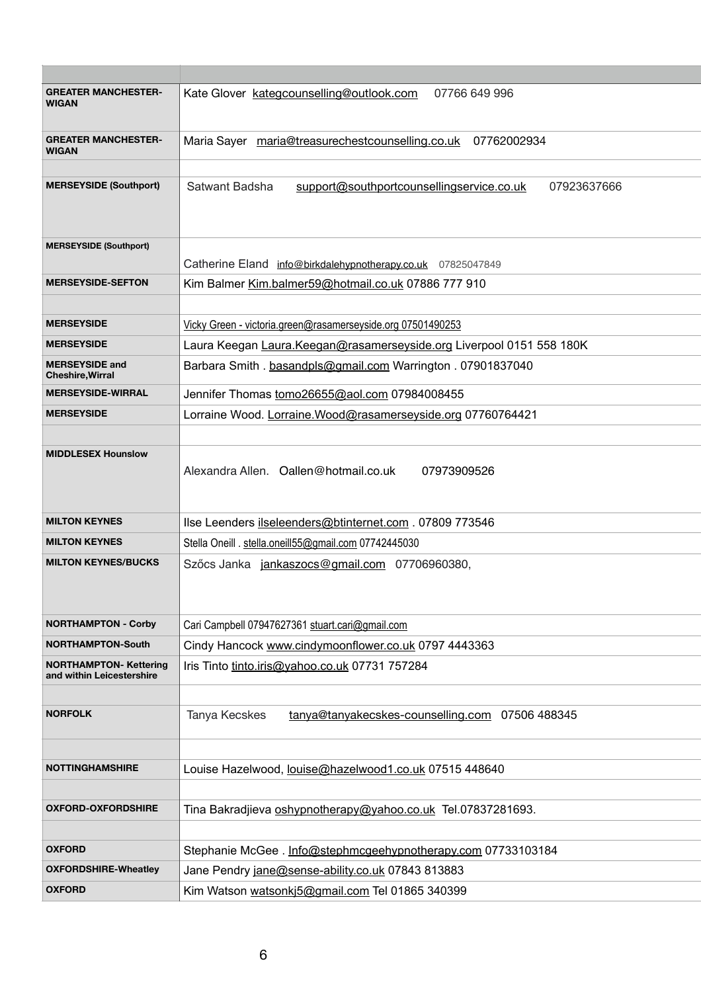| <b>GREATER MANCHESTER-</b><br><b>WIGAN</b>                 | Kate Glover kategcounselling@outlook.com<br>07766 649 996                  |
|------------------------------------------------------------|----------------------------------------------------------------------------|
| <b>GREATER MANCHESTER-</b><br><b>WIGAN</b>                 | Maria Sayer maria@treasurechestcounselling.co.uk<br>07762002934            |
| <b>MERSEYSIDE (Southport)</b>                              | Satwant Badsha<br>support@southportcounsellingservice.co.uk<br>07923637666 |
| <b>MERSEYSIDE (Southport)</b>                              | Catherine Eland info@birkdalehypnotherapy.co.uk 07825047849                |
| <b>MERSEYSIDE-SEFTON</b>                                   | Kim Balmer Kim.balmer59@hotmail.co.uk 07886 777 910                        |
|                                                            |                                                                            |
| <b>MERSEYSIDE</b>                                          | Vicky Green - victoria.green@rasamerseyside.org 07501490253                |
| <b>MERSEYSIDE</b>                                          | Laura Keegan Laura. Keegan@rasamerseyside.org Liverpool 0151 558 180K      |
| <b>MERSEYSIDE and</b><br><b>Cheshire, Wirral</b>           | Barbara Smith. basandpls@gmail.com Warrington. 07901837040                 |
| <b>MERSEYSIDE-WIRRAL</b>                                   | Jennifer Thomas tomo26655@aol.com 07984008455                              |
| <b>MERSEYSIDE</b>                                          | Lorraine Wood. Lorraine. Wood@rasamerseyside.org 07760764421               |
|                                                            |                                                                            |
| <b>MIDDLESEX Hounslow</b>                                  | Alexandra Allen. Oallen@hotmail.co.uk<br>07973909526                       |
| <b>MILTON KEYNES</b>                                       | Ilse Leenders ilseleenders@btinternet.com . 07809 773546                   |
| <b>MILTON KEYNES</b>                                       | Stella Oneill . stella.oneill55@gmail.com 07742445030                      |
| <b>MILTON KEYNES/BUCKS</b>                                 | Szőcs Janka jankaszocs@gmail.com 07706960380,                              |
| <b>NORTHAMPTON - Corby</b>                                 | Cari Campbell 07947627361 stuart.cari@gmail.com                            |
| <b>NORTHAMPTON-South</b>                                   | Cindy Hancock www.cindymoonflower.co.uk 0797 4443363                       |
| <b>NORTHAMPTON- Kettering</b><br>and within Leicestershire | Iris Tinto tinto.iris@yahoo.co.uk 07731 757284                             |
| <b>NORFOLK</b>                                             | Tanya Kecskes<br>tanya@tanyakecskes-counselling.com 07506 488345           |
|                                                            |                                                                            |
| <b>NOTTINGHAMSHIRE</b>                                     | Louise Hazelwood, <u>louise@hazelwood1.co.uk</u> 07515 448640              |
|                                                            |                                                                            |
| <b>OXFORD-OXFORDSHIRE</b>                                  | Tina Bakradjieva oshypnotherapy@yahoo.co.uk Tel.07837281693.               |
| <b>OXFORD</b>                                              | Stephanie McGee. Info@stephmcgeehypnotherapy.com 07733103184               |
| <b>OXFORDSHIRE-Wheatley</b>                                | Jane Pendry jane@sense-ability.co.uk 07843 813883                          |
| <b>OXFORD</b>                                              | Kim Watson watsonki5@gmail.com Tel 01865 340399                            |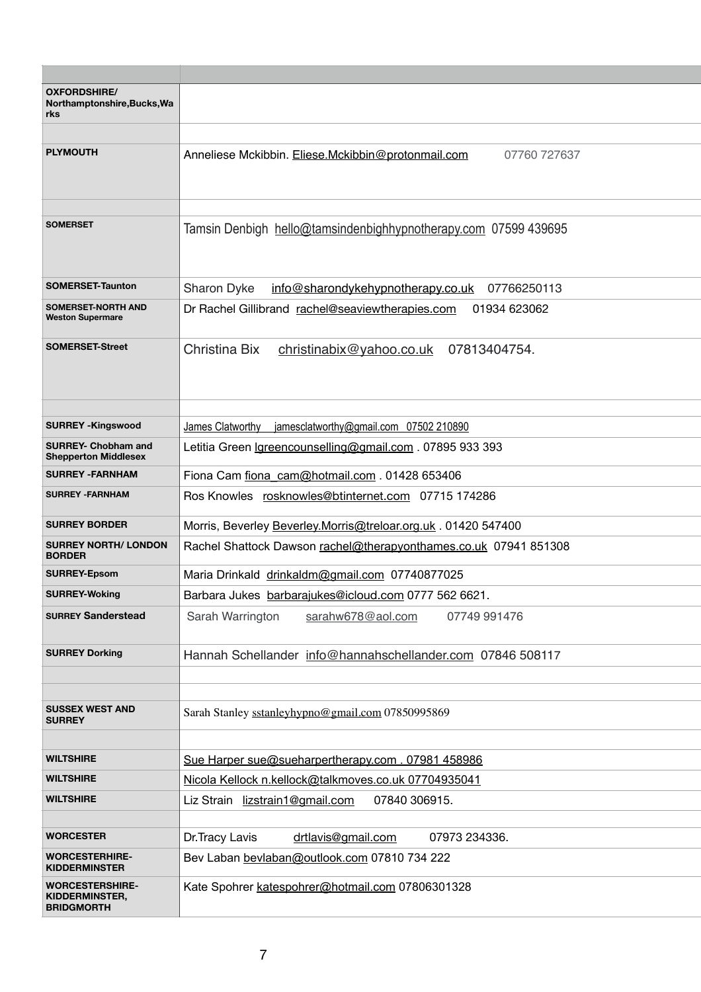| <b>OXFORDSHIRE/</b><br>Northamptonshire, Bucks, Wa<br>rks            |                                                                        |
|----------------------------------------------------------------------|------------------------------------------------------------------------|
| <b>PLYMOUTH</b>                                                      | Anneliese Mckibbin. Eliese.Mckibbin@protonmail.com<br>07760 727637     |
|                                                                      |                                                                        |
| <b>SOMERSET</b>                                                      | Tamsin Denbigh hello@tamsindenbighhypnotherapy.com 07599 439695        |
| <b>SOMERSET-Taunton</b>                                              | <b>Sharon Dyke</b><br>info@sharondykehypnotherapy.co.uk<br>07766250113 |
| <b>SOMERSET-NORTH AND</b><br><b>Weston Supermare</b>                 | Dr Rachel Gillibrand rachel@seaviewtherapies.com<br>01934 623062       |
| <b>SOMERSET-Street</b>                                               | Christina Bix<br>christinabix@yahoo.co.uk<br>07813404754.              |
|                                                                      |                                                                        |
| <b>SURREY -Kingswood</b>                                             | James Clatworthy<br>jamesclatworthy@gmail.com $07502$ 210890           |
| <b>SURREY- Chobham and</b><br><b>Shepperton Middlesex</b>            | Letitia Green <u>Igreencounselling@gmail.com</u> . 07895 933 393       |
| <b>SURREY - FARNHAM</b>                                              | Fiona Cam fiona cam@hotmail.com . 01428 653406                         |
| <b>SURREY - FARNHAM</b>                                              | Ros Knowles rosknowles@btinternet.com 07715 174286                     |
| <b>SURREY BORDER</b>                                                 | Morris, Beverley Beverley.Morris@treloar.org.uk. 01420 547400          |
| <b>SURREY NORTH/ LONDON</b><br><b>BORDER</b>                         | Rachel Shattock Dawson rachel@therapyonthames.co.uk 07941 851308       |
| <b>SURREY-Epsom</b>                                                  | Maria Drinkald drinkaldm@gmail.com 07740877025                         |
| <b>SURREY-Woking</b>                                                 | Barbara Jukes barbarajukes@icloud.com 0777 562 6621.                   |
| <b>SURREY Sanderstead</b>                                            | Sarah Warrington<br>sarahw678@aol.com<br>07749 991476                  |
| <b>SURREY Dorking</b>                                                | Hannah Schellander info@hannahschellander.com 07846 508117             |
|                                                                      |                                                                        |
| <b>SUSSEX WEST AND</b><br><b>SURREY</b>                              | Sarah Stanley sstanleyhypno@gmail.com 07850995869                      |
| <b>WILTSHIRE</b>                                                     |                                                                        |
|                                                                      | Sue Harper sue@sueharpertherapy.com. 07981 458986                      |
| <b>WILTSHIRE</b>                                                     | Nicola Kellock n.kellock@talkmoves.co.uk 07704935041                   |
| <b>WILTSHIRE</b>                                                     | Liz Strain lizstrain1@gmail.com<br>07840 306915.                       |
| <b>WORCESTER</b>                                                     | drtlavis@gmail.com<br>Dr. Tracy Lavis<br>07973 234336.                 |
| <b>WORCESTERHIRE-</b><br><b>KIDDERMINSTER</b>                        | Bev Laban bevlaban@outlook.com 07810 734 222                           |
| <b>WORCESTERSHIRE-</b><br><b>KIDDERMINSTER,</b><br><b>BRIDGMORTH</b> | Kate Spohrer katespohrer@hotmail.com 07806301328                       |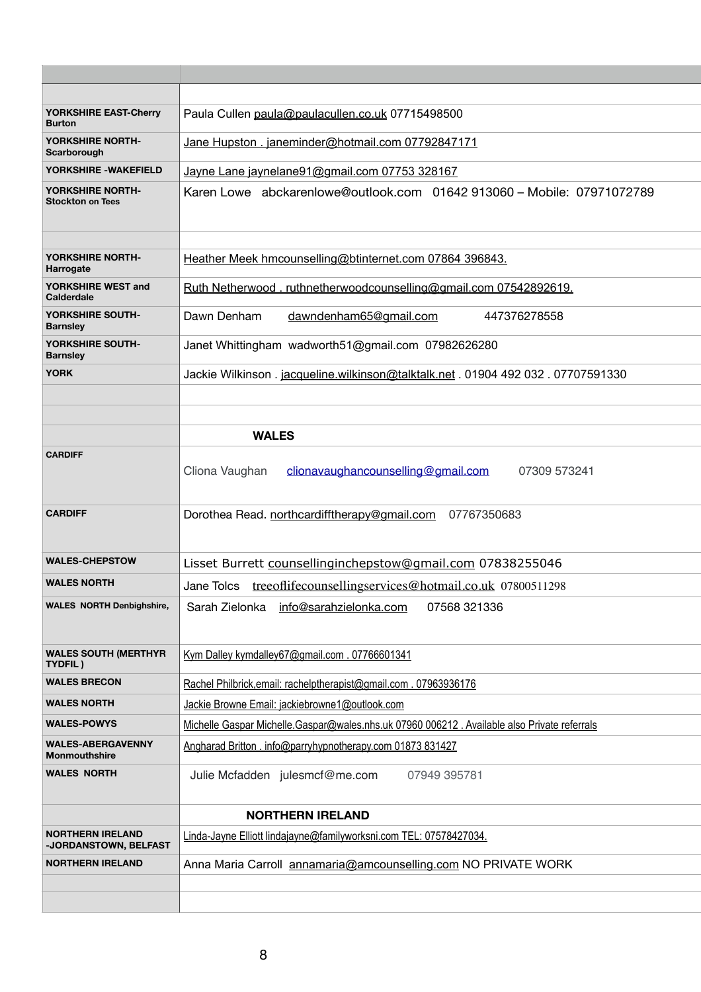| <b>YORKSHIRE EAST-Cherry</b><br><b>Burton</b>    | Paula Cullen paula@paulacullen.co.uk 07715498500                                            |
|--------------------------------------------------|---------------------------------------------------------------------------------------------|
| YORKSHIRE NORTH-<br>Scarborough                  | Jane Hupston . janeminder@hotmail.com 07792847171                                           |
| YORKSHIRE - WAKEFIELD                            | Jayne Lane jaynelane91@gmail.com 07753 328167                                               |
| YORKSHIRE NORTH-<br><b>Stockton on Tees</b>      | Karen Lowe abckarenlowe@outlook.com 01642 913060 - Mobile: 07971072789                      |
| YORKSHIRE NORTH-<br><b>Harrogate</b>             | Heather Meek hmcounselling@btinternet.com 07864 396843.                                     |
| YORKSHIRE WEST and<br><b>Calderdale</b>          | Ruth Netherwood.ruthnetherwoodcounselling@gmail.com 07542892619.                            |
| YORKSHIRE SOUTH-<br><b>Barnsley</b>              | Dawn Denham<br>dawndenham65@gmail.com<br>447376278558                                       |
| YORKSHIRE SOUTH-<br><b>Barnsley</b>              | Janet Whittingham wadworth51@gmail.com 07982626280                                          |
| <b>YORK</b>                                      | Jackie Wilkinson. jacqueline.wilkinson@talktalk.net . 01904 492 032 . 07707591330           |
|                                                  | <b>WALES</b>                                                                                |
| <b>CARDIFF</b>                                   | Cliona Vaughan<br>clionavaughancounselling@gmail.com<br>07309 573241                        |
| <b>CARDIFF</b>                                   | Dorothea Read. northcardifftherapy@gmail.com<br>07767350683                                 |
| <b>WALES-CHEPSTOW</b>                            | Lisset Burrett counsellinginchepstow@gmail.com 07838255046                                  |
| <b>WALES NORTH</b>                               | treeoflifecounsellingservices@hotmail.co.uk 07800511298<br>Jane Tolcs                       |
| <b>WALES NORTH Denbighshire,</b>                 | info@sarahzielonka.com<br>Sarah Zielonka<br>07568 321336                                    |
| <b>WALES SOUTH (MERTHYR</b><br>TYDFIL)           | Kym Dalley kymdalley67@gmail.com . 07766601341                                              |
| <b>WALES BRECON</b>                              | Rachel Philbrick, email: rachelptherapist@gmail.com. 07963936176                            |
| <b>WALES NORTH</b>                               | Jackie Browne Email: jackiebrowne1@outlook.com                                              |
| <b>WALES-POWYS</b>                               | Michelle Gaspar Michelle.Gaspar@wales.nhs.uk 07960 006212. Available also Private referrals |
| <b>WALES-ABERGAVENNY</b><br><b>Monmouthshire</b> | Angharad Britton . info@parryhypnotherapy.com 01873 831427                                  |
| <b>WALES NORTH</b>                               | Julie Mcfadden julesmcf@me.com<br>07949 395781                                              |
|                                                  | <b>NORTHERN IRELAND</b>                                                                     |
| <b>NORTHERN IRELAND</b><br>-JORDANSTOWN, BELFAST | Linda-Jayne Elliott lindajayne@familyworksni.com TEL: 07578427034.                          |
| <b>NORTHERN IRELAND</b>                          | Anna Maria Carroll annamaria@amcounselling.com NO PRIVATE WORK                              |
|                                                  |                                                                                             |
|                                                  |                                                                                             |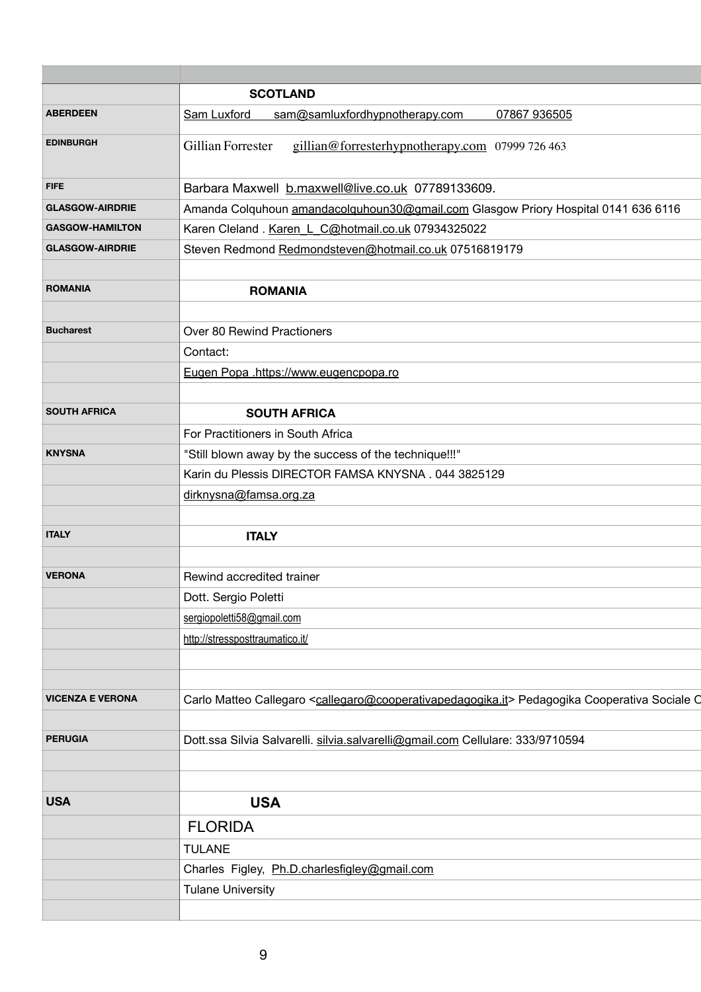|                         | <b>SCOTLAND</b>                                                                                                                   |
|-------------------------|-----------------------------------------------------------------------------------------------------------------------------------|
| <b>ABERDEEN</b>         | Sam Luxford<br>sam@samluxfordhypnotherapy.com<br>07867 936505                                                                     |
| <b>EDINBURGH</b>        | Gillian Forrester<br>gillian@forresterhypnotherapy.com 07999 726 463                                                              |
| <b>FIFE</b>             | Barbara Maxwell b.maxwell@live.co.uk 07789133609.                                                                                 |
| <b>GLASGOW-AIRDRIE</b>  | Amanda Colquhoun amandacolquhoun30@gmail.com Glasgow Priory Hospital 0141 636 6116                                                |
| <b>GASGOW-HAMILTON</b>  | Karen Cleland. Karen L C@hotmail.co.uk 07934325022                                                                                |
| <b>GLASGOW-AIRDRIE</b>  | Steven Redmond Redmondsteven@hotmail.co.uk 07516819179                                                                            |
| <b>ROMANIA</b>          | <b>ROMANIA</b>                                                                                                                    |
|                         |                                                                                                                                   |
| <b>Bucharest</b>        | <b>Over 80 Rewind Practioners</b>                                                                                                 |
|                         | Contact:                                                                                                                          |
|                         | Eugen Popa .https://www.eugencpopa.ro                                                                                             |
|                         |                                                                                                                                   |
| <b>SOUTH AFRICA</b>     | <b>SOUTH AFRICA</b>                                                                                                               |
|                         | For Practitioners in South Africa                                                                                                 |
| <b>KNYSNA</b>           | "Still blown away by the success of the technique!!!"                                                                             |
|                         | Karin du Plessis DIRECTOR FAMSA KNYSNA. 044 3825129                                                                               |
|                         | dirknysna@famsa.org.za                                                                                                            |
|                         |                                                                                                                                   |
| <b>ITALY</b>            | <b>ITALY</b>                                                                                                                      |
|                         |                                                                                                                                   |
| <b>VERONA</b>           | Rewind accredited trainer                                                                                                         |
|                         | Dott. Sergio Poletti                                                                                                              |
|                         | sergiopoletti58@gmail.com                                                                                                         |
|                         | http://stressposttraumatico.it/                                                                                                   |
|                         |                                                                                                                                   |
|                         |                                                                                                                                   |
| <b>VICENZA E VERONA</b> | Carlo Matteo Callegaro <callegaro@cooperativapedagogika.it> Pedagogika Cooperativa Sociale O</callegaro@cooperativapedagogika.it> |
|                         |                                                                                                                                   |
| <b>PERUGIA</b>          | Dott.ssa Silvia Salvarelli. silvia.salvarelli@gmail.com Cellulare: 333/9710594                                                    |

| <b>USA</b> | <b>USA</b>                                   |
|------------|----------------------------------------------|
|            | <b>FLORIDA</b>                               |
|            | <b>TULANE</b>                                |
|            | Charles Figley, Ph.D.charlesfigley@gmail.com |
|            | Tulane University                            |
|            |                                              |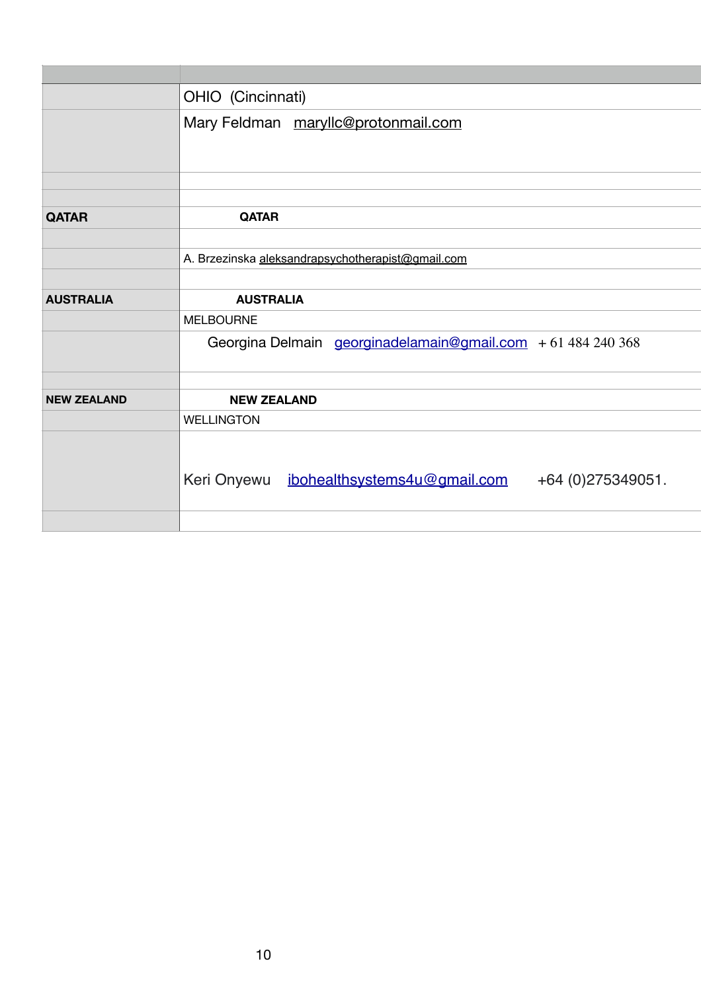| OHIO (Cincinnati)                                                 |
|-------------------------------------------------------------------|
| Mary Feldman maryllc@protonmail.com                               |
|                                                                   |
| <b>QATAR</b>                                                      |
|                                                                   |
| A. Brzezinska aleksandrapsychotherapist@gmail.com                 |
|                                                                   |
| <b>AUSTRALIA</b>                                                  |
| <b>MELBOURNE</b>                                                  |
| Georgina Delmain georginadelamain@gmail.com $+61484240368$        |
|                                                                   |
| <b>NEW ZEALAND</b>                                                |
| <b>WELLINGTON</b>                                                 |
| ibohealthsystems4u@gmail.com<br>Keri Onyewu<br>+64 (0) 275349051. |
|                                                                   |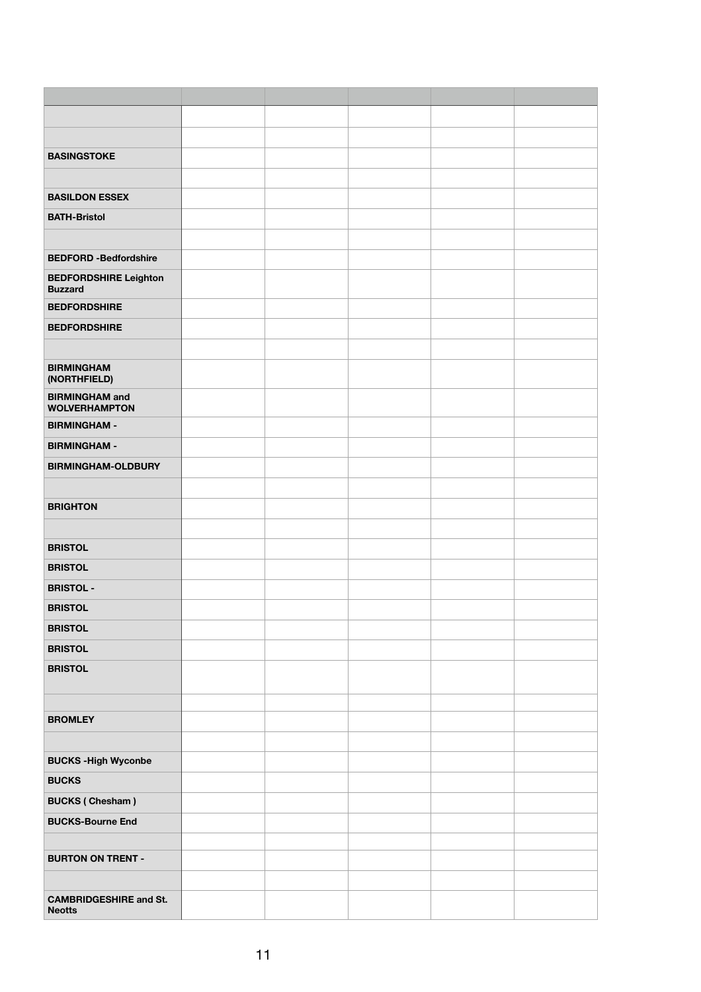| <b>BASINGSTOKE</b>                             |  |  |  |
|------------------------------------------------|--|--|--|
|                                                |  |  |  |
| <b>BASILDON ESSEX</b>                          |  |  |  |
| <b>BATH-Bristol</b>                            |  |  |  |
|                                                |  |  |  |
| <b>BEDFORD -Bedfordshire</b>                   |  |  |  |
| <b>BEDFORDSHIRE Leighton</b>                   |  |  |  |
| <b>Buzzard</b>                                 |  |  |  |
| <b>BEDFORDSHIRE</b>                            |  |  |  |
| <b>BEDFORDSHIRE</b>                            |  |  |  |
|                                                |  |  |  |
| <b>BIRMINGHAM</b>                              |  |  |  |
| (NORTHFIELD)<br><b>BIRMINGHAM and</b>          |  |  |  |
| <b>WOLVERHAMPTON</b>                           |  |  |  |
| <b>BIRMINGHAM -</b>                            |  |  |  |
| <b>BIRMINGHAM -</b>                            |  |  |  |
| <b>BIRMINGHAM-OLDBURY</b>                      |  |  |  |
|                                                |  |  |  |
| <b>BRIGHTON</b>                                |  |  |  |
|                                                |  |  |  |
| <b>BRISTOL</b>                                 |  |  |  |
| <b>BRISTOL</b>                                 |  |  |  |
| <b>BRISTOL -</b>                               |  |  |  |
| <b>BRISTOL</b>                                 |  |  |  |
| <b>BRISTOL</b>                                 |  |  |  |
| <b>BRISTOL</b>                                 |  |  |  |
| <b>BRISTOL</b>                                 |  |  |  |
|                                                |  |  |  |
|                                                |  |  |  |
| <b>BROMLEY</b>                                 |  |  |  |
|                                                |  |  |  |
| <b>BUCKS-High Wyconbe</b>                      |  |  |  |
| <b>BUCKS</b>                                   |  |  |  |
| <b>BUCKS (Chesham)</b>                         |  |  |  |
| <b>BUCKS-Bourne End</b>                        |  |  |  |
|                                                |  |  |  |
| <b>BURTON ON TRENT -</b>                       |  |  |  |
|                                                |  |  |  |
| <b>CAMBRIDGESHIRE and St.</b><br><b>Neotts</b> |  |  |  |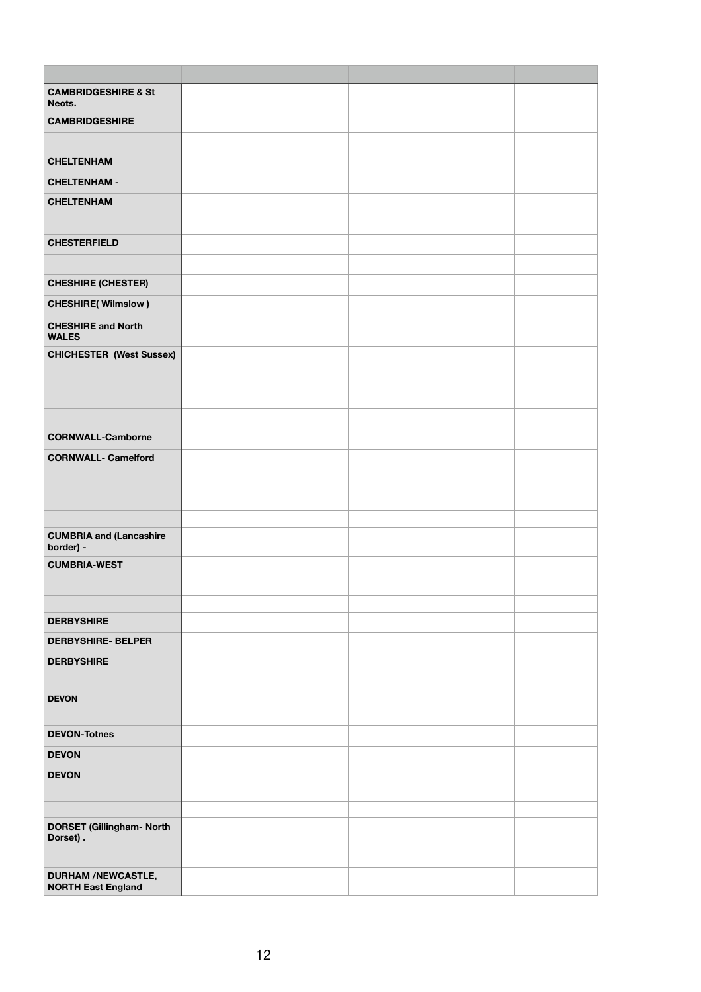| <b>CAMBRIDGESHIRE &amp; St</b><br>Neots.               |  |  |  |
|--------------------------------------------------------|--|--|--|
| <b>CAMBRIDGESHIRE</b>                                  |  |  |  |
|                                                        |  |  |  |
| <b>CHELTENHAM</b>                                      |  |  |  |
| <b>CHELTENHAM -</b>                                    |  |  |  |
| <b>CHELTENHAM</b>                                      |  |  |  |
|                                                        |  |  |  |
| <b>CHESTERFIELD</b>                                    |  |  |  |
|                                                        |  |  |  |
| <b>CHESHIRE (CHESTER)</b>                              |  |  |  |
| <b>CHESHIRE(Wilmslow)</b>                              |  |  |  |
| <b>CHESHIRE and North</b><br><b>WALES</b>              |  |  |  |
| <b>CHICHESTER (West Sussex)</b>                        |  |  |  |
|                                                        |  |  |  |
|                                                        |  |  |  |
|                                                        |  |  |  |
| <b>CORNWALL-Camborne</b>                               |  |  |  |
| <b>CORNWALL- Camelford</b>                             |  |  |  |
|                                                        |  |  |  |
|                                                        |  |  |  |
| <b>CUMBRIA and (Lancashire</b>                         |  |  |  |
| border) -                                              |  |  |  |
| <b>CUMBRIA-WEST</b>                                    |  |  |  |
|                                                        |  |  |  |
| <b>DERBYSHIRE</b>                                      |  |  |  |
| <b>DERBYSHIRE- BELPER</b>                              |  |  |  |
| <b>DERBYSHIRE</b>                                      |  |  |  |
|                                                        |  |  |  |
| <b>DEVON</b>                                           |  |  |  |
| <b>DEVON-Totnes</b>                                    |  |  |  |
| <b>DEVON</b>                                           |  |  |  |
| <b>DEVON</b>                                           |  |  |  |
|                                                        |  |  |  |
| <b>DORSET (Gillingham- North</b>                       |  |  |  |
| Dorset).                                               |  |  |  |
|                                                        |  |  |  |
| <b>DURHAM /NEWCASTLE,</b><br><b>NORTH East England</b> |  |  |  |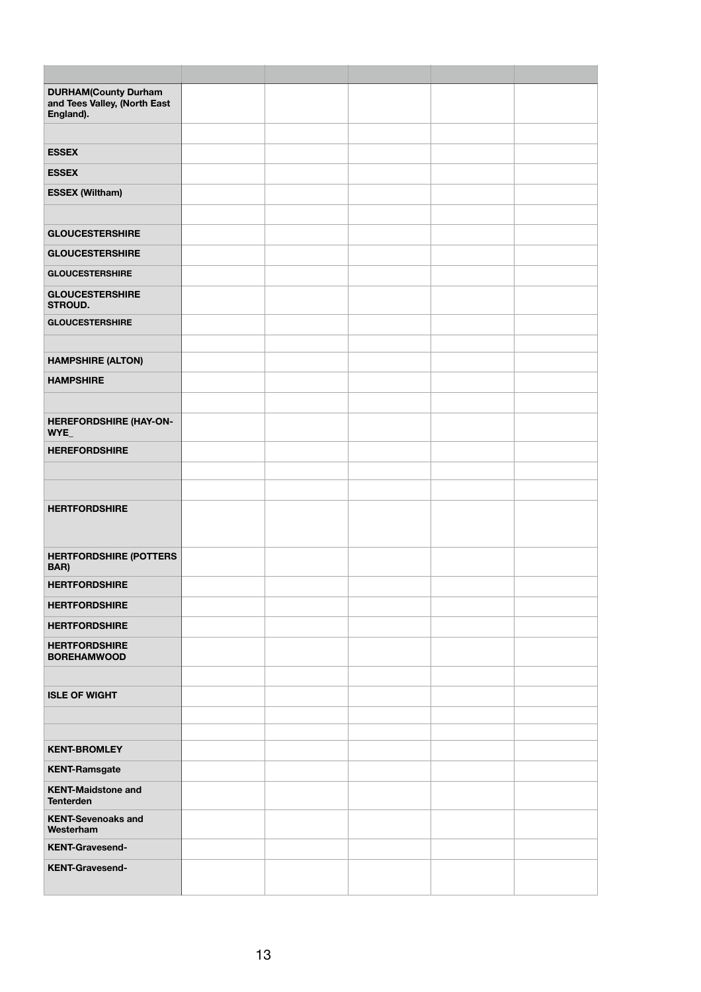| <b>DURHAM(County Durham</b><br>and Tees Valley, (North East<br>England). |  |  |  |
|--------------------------------------------------------------------------|--|--|--|
| <b>ESSEX</b>                                                             |  |  |  |
| <b>ESSEX</b>                                                             |  |  |  |
| <b>ESSEX (Wiltham)</b>                                                   |  |  |  |
|                                                                          |  |  |  |
| <b>GLOUCESTERSHIRE</b>                                                   |  |  |  |
| <b>GLOUCESTERSHIRE</b>                                                   |  |  |  |
| <b>GLOUCESTERSHIRE</b>                                                   |  |  |  |
| <b>GLOUCESTERSHIRE</b><br><b>STROUD.</b>                                 |  |  |  |
| <b>GLOUCESTERSHIRE</b>                                                   |  |  |  |
| <b>HAMPSHIRE (ALTON)</b>                                                 |  |  |  |
| <b>HAMPSHIRE</b>                                                         |  |  |  |
|                                                                          |  |  |  |
| <b>HEREFORDSHIRE (HAY-ON-</b><br>WYE                                     |  |  |  |
| <b>HEREFORDSHIRE</b>                                                     |  |  |  |
|                                                                          |  |  |  |
|                                                                          |  |  |  |
| <b>HERTFORDSHIRE</b>                                                     |  |  |  |
| <b>HERTFORDSHIRE (POTTERS</b><br>BAR)                                    |  |  |  |
| <b>HERTFORDSHIRE</b>                                                     |  |  |  |
| <b>HERTFORDSHIRE</b>                                                     |  |  |  |
| <b>HERTFORDSHIRE</b>                                                     |  |  |  |
| <b>HERTFORDSHIRE</b><br><b>BOREHAMWOOD</b>                               |  |  |  |
|                                                                          |  |  |  |
| <b>ISLE OF WIGHT</b>                                                     |  |  |  |
|                                                                          |  |  |  |
| <b>KENT-BROMLEY</b>                                                      |  |  |  |
| <b>KENT-Ramsgate</b>                                                     |  |  |  |
| <b>KENT-Maidstone and</b><br><b>Tenterden</b>                            |  |  |  |
| <b>KENT-Sevenoaks and</b><br>Westerham                                   |  |  |  |
| <b>KENT-Gravesend-</b>                                                   |  |  |  |
| <b>KENT-Gravesend-</b>                                                   |  |  |  |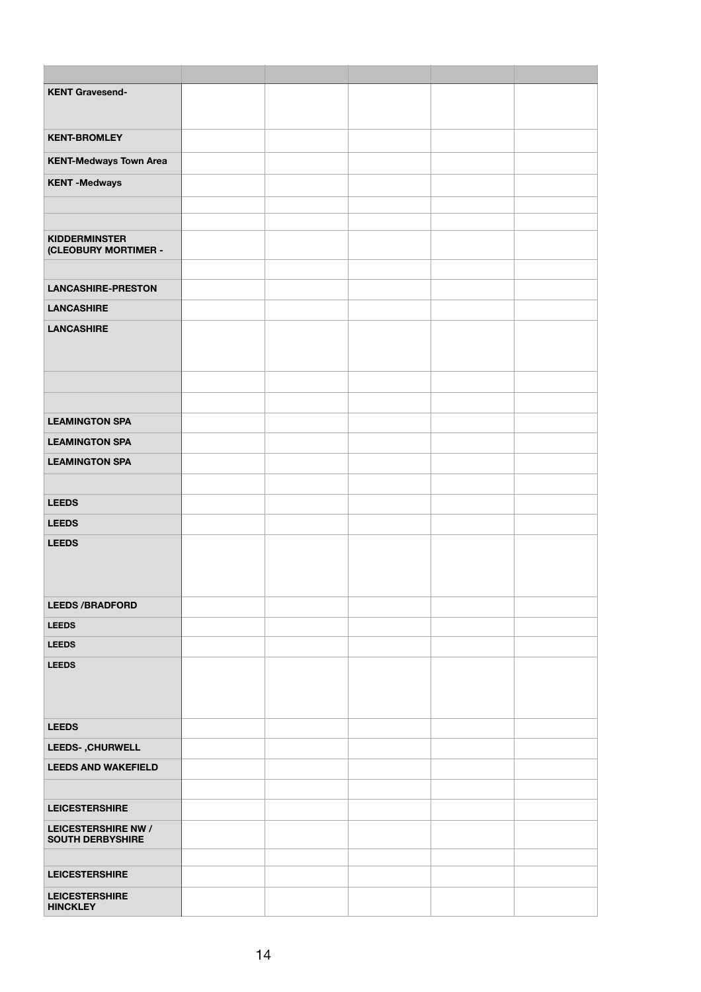| <b>KENT Gravesend-</b>                         |  |  |  |
|------------------------------------------------|--|--|--|
|                                                |  |  |  |
| <b>KENT-BROMLEY</b>                            |  |  |  |
| <b>KENT-Medways Town Area</b>                  |  |  |  |
| <b>KENT-Medways</b>                            |  |  |  |
|                                                |  |  |  |
|                                                |  |  |  |
| <b>KIDDERMINSTER</b><br>(CLEOBURY MORTIMER -   |  |  |  |
|                                                |  |  |  |
| <b>LANCASHIRE-PRESTON</b>                      |  |  |  |
| <b>LANCASHIRE</b>                              |  |  |  |
| <b>LANCASHIRE</b>                              |  |  |  |
|                                                |  |  |  |
|                                                |  |  |  |
|                                                |  |  |  |
|                                                |  |  |  |
| <b>LEAMINGTON SPA</b>                          |  |  |  |
| <b>LEAMINGTON SPA</b>                          |  |  |  |
| <b>LEAMINGTON SPA</b>                          |  |  |  |
|                                                |  |  |  |
| <b>LEEDS</b>                                   |  |  |  |
| <b>LEEDS</b>                                   |  |  |  |
| <b>LEEDS</b>                                   |  |  |  |
|                                                |  |  |  |
| <b>LEEDS /BRADFORD</b>                         |  |  |  |
| <b>LEEDS</b>                                   |  |  |  |
| <b>LEEDS</b>                                   |  |  |  |
| <b>LEEDS</b>                                   |  |  |  |
|                                                |  |  |  |
|                                                |  |  |  |
| <b>LEEDS</b>                                   |  |  |  |
| <b>LEEDS-, CHURWELL</b>                        |  |  |  |
| <b>LEEDS AND WAKEFIELD</b>                     |  |  |  |
|                                                |  |  |  |
| <b>LEICESTERSHIRE</b>                          |  |  |  |
| LEICESTERSHIRE NW /<br><b>SOUTH DERBYSHIRE</b> |  |  |  |
|                                                |  |  |  |
| <b>LEICESTERSHIRE</b>                          |  |  |  |
| <b>LEICESTERSHIRE</b>                          |  |  |  |
| <b>HINCKLEY</b>                                |  |  |  |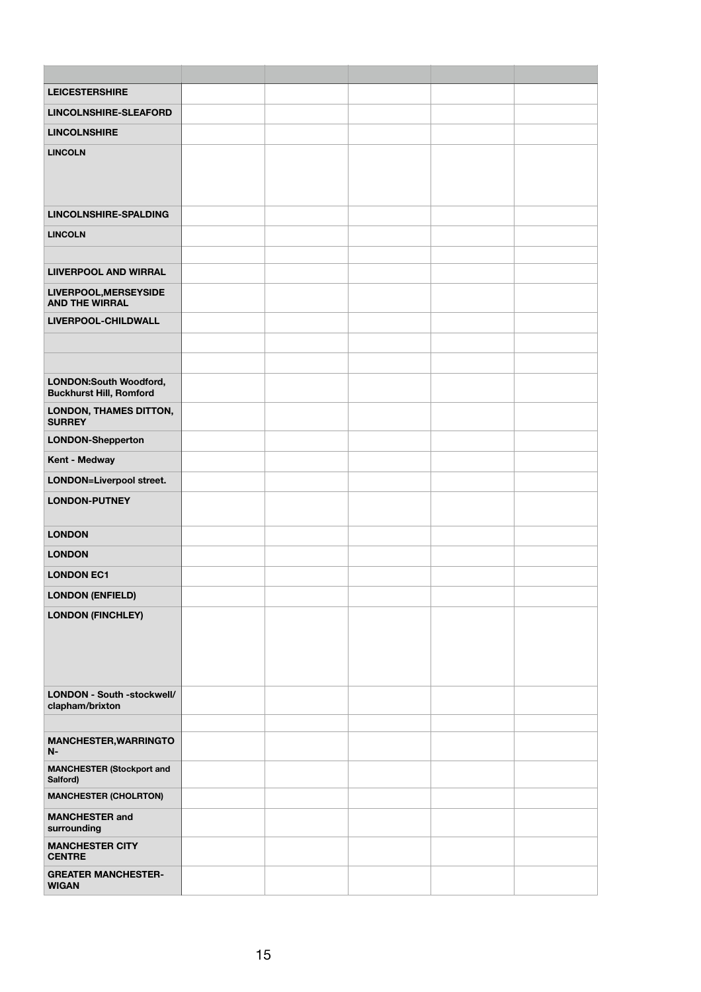| <b>LEICESTERSHIRE</b>                                    |  |  |  |
|----------------------------------------------------------|--|--|--|
| <b>LINCOLNSHIRE-SLEAFORD</b>                             |  |  |  |
| <b>LINCOLNSHIRE</b>                                      |  |  |  |
| <b>LINCOLN</b>                                           |  |  |  |
|                                                          |  |  |  |
|                                                          |  |  |  |
| <b>LINCOLNSHIRE-SPALDING</b>                             |  |  |  |
| <b>LINCOLN</b>                                           |  |  |  |
|                                                          |  |  |  |
| <b>LIIVERPOOL AND WIRRAL</b>                             |  |  |  |
| LIVERPOOL, MERSEYSIDE<br><b>AND THE WIRRAL</b>           |  |  |  |
| LIVERPOOL-CHILDWALL                                      |  |  |  |
|                                                          |  |  |  |
|                                                          |  |  |  |
| LONDON:South Woodford,<br><b>Buckhurst Hill, Romford</b> |  |  |  |
| LONDON, THAMES DITTON,                                   |  |  |  |
| <b>SURREY</b>                                            |  |  |  |
| <b>LONDON-Shepperton</b>                                 |  |  |  |
| <b>Kent - Medway</b>                                     |  |  |  |
| <b>LONDON=Liverpool street.</b>                          |  |  |  |
| <b>LONDON-PUTNEY</b>                                     |  |  |  |
| <b>LONDON</b>                                            |  |  |  |
| <b>LONDON</b>                                            |  |  |  |
| <b>LONDON EC1</b>                                        |  |  |  |
| <b>LONDON (ENFIELD)</b>                                  |  |  |  |
| <b>LONDON (FINCHLEY)</b>                                 |  |  |  |
|                                                          |  |  |  |
|                                                          |  |  |  |
|                                                          |  |  |  |
| LONDON - South -stockwell/                               |  |  |  |
| clapham/brixton                                          |  |  |  |
|                                                          |  |  |  |
| <b>MANCHESTER, WARRINGTO</b><br>$N-$                     |  |  |  |
| <b>MANCHESTER (Stockport and</b><br>Salford)             |  |  |  |
| <b>MANCHESTER (CHOLRTON)</b>                             |  |  |  |
| <b>MANCHESTER and</b><br>surrounding                     |  |  |  |
| <b>MANCHESTER CITY</b><br><b>CENTRE</b>                  |  |  |  |
| <b>GREATER MANCHESTER-</b><br><b>WIGAN</b>               |  |  |  |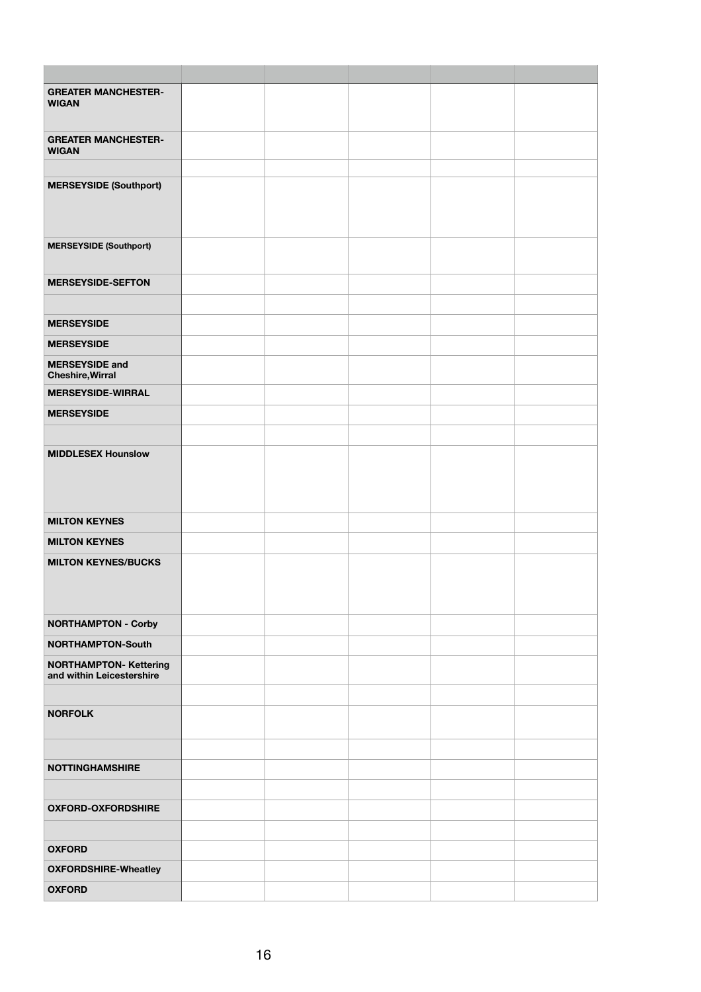| <b>GREATER MANCHESTER-</b><br><b>WIGAN</b>                 |  |  |  |
|------------------------------------------------------------|--|--|--|
| <b>GREATER MANCHESTER-</b><br><b>WIGAN</b>                 |  |  |  |
|                                                            |  |  |  |
| <b>MERSEYSIDE (Southport)</b>                              |  |  |  |
| <b>MERSEYSIDE (Southport)</b>                              |  |  |  |
| <b>MERSEYSIDE-SEFTON</b>                                   |  |  |  |
| <b>MERSEYSIDE</b>                                          |  |  |  |
| <b>MERSEYSIDE</b>                                          |  |  |  |
| <b>MERSEYSIDE and</b><br><b>Cheshire, Wirral</b>           |  |  |  |
| <b>MERSEYSIDE-WIRRAL</b>                                   |  |  |  |
| <b>MERSEYSIDE</b>                                          |  |  |  |
| <b>MIDDLESEX Hounslow</b>                                  |  |  |  |
|                                                            |  |  |  |
| <b>MILTON KEYNES</b>                                       |  |  |  |
| <b>MILTON KEYNES</b>                                       |  |  |  |
| <b>MILTON KEYNES/BUCKS</b>                                 |  |  |  |
| <b>NORTHAMPTON - Corby</b>                                 |  |  |  |
| <b>NORTHAMPTON-South</b>                                   |  |  |  |
| <b>NORTHAMPTON- Kettering</b><br>and within Leicestershire |  |  |  |
| <b>NORFOLK</b>                                             |  |  |  |
|                                                            |  |  |  |
| <b>NOTTINGHAMSHIRE</b>                                     |  |  |  |
| <b>OXFORD-OXFORDSHIRE</b>                                  |  |  |  |
| <b>OXFORD</b>                                              |  |  |  |
| <b>OXFORDSHIRE-Wheatley</b>                                |  |  |  |
| <b>OXFORD</b>                                              |  |  |  |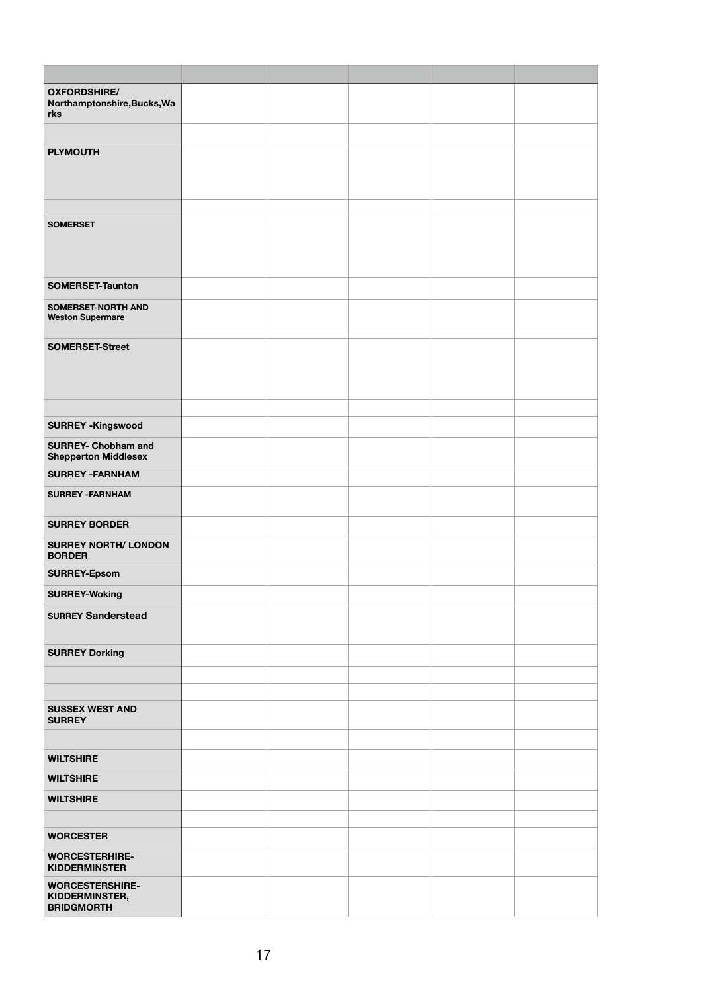| <b>OXFORDSHIRE/</b><br>Northamptonshire, Bucks, Wa<br>rks            |  |  |  |
|----------------------------------------------------------------------|--|--|--|
| <b>PLYMOUTH</b>                                                      |  |  |  |
| <b>SOMERSET</b>                                                      |  |  |  |
| <b>SOMERSET-Taunton</b>                                              |  |  |  |
| <b>SOMERSET-NORTH AND</b><br><b>Weston Supermare</b>                 |  |  |  |
| <b>SOMERSET-Street</b>                                               |  |  |  |
| <b>SURREY - Kingswood</b>                                            |  |  |  |
| <b>SURREY- Chobham and</b><br><b>Shepperton Middlesex</b>            |  |  |  |
| <b>SURREY -FARNHAM</b>                                               |  |  |  |
| <b>SURREY - FARNHAM</b>                                              |  |  |  |
| <b>SURREY BORDER</b><br><b>SURREY NORTH/ LONDON</b><br><b>BORDER</b> |  |  |  |
| <b>SURREY-Epsom</b>                                                  |  |  |  |
| <b>SURREY-Woking</b>                                                 |  |  |  |
| <b>SURREY Sanderstead</b>                                            |  |  |  |
| <b>SURREY Dorking</b>                                                |  |  |  |
|                                                                      |  |  |  |
| <b>SUSSEX WEST AND</b><br><b>SURREY</b>                              |  |  |  |
|                                                                      |  |  |  |
| <b>WILTSHIRE</b>                                                     |  |  |  |
| <b>WILTSHIRE</b>                                                     |  |  |  |
| <b>WILTSHIRE</b>                                                     |  |  |  |
| <b>WORCESTER</b>                                                     |  |  |  |
| <b>WORCESTERHIRE-</b><br><b>KIDDERMINSTER</b>                        |  |  |  |
| <b>WORCESTERSHIRE-</b><br>KIDDERMINSTER,<br><b>BRIDGMORTH</b>        |  |  |  |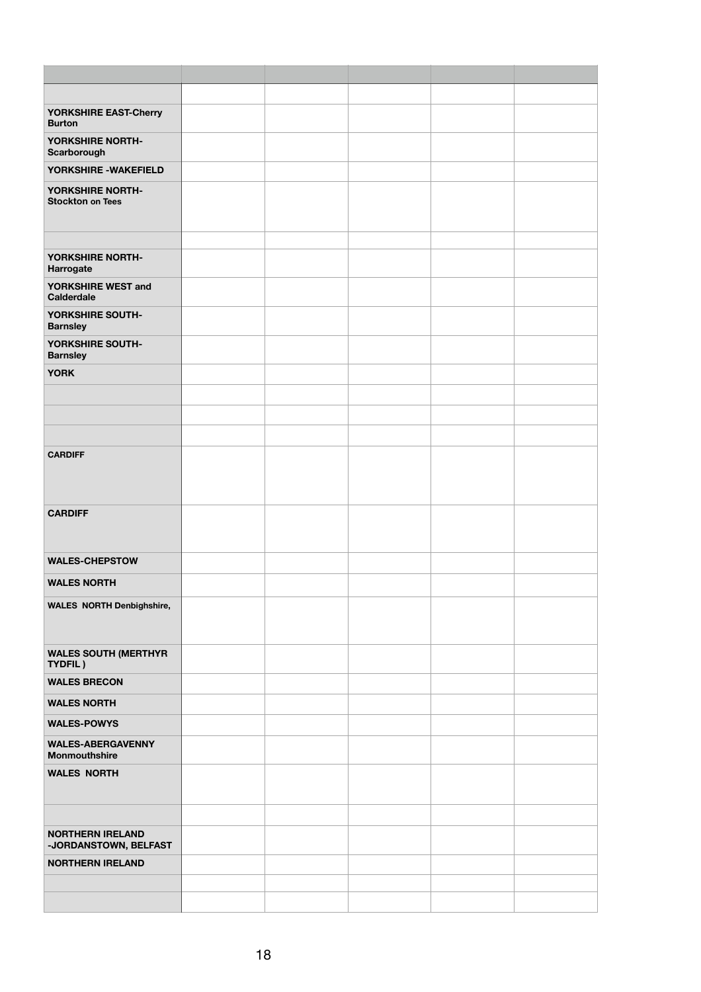| YORKSHIRE EAST-Cherry<br><b>Burton</b>           |  |  |  |
|--------------------------------------------------|--|--|--|
| YORKSHIRE NORTH-<br>Scarborough                  |  |  |  |
| YORKSHIRE - WAKEFIELD                            |  |  |  |
| YORKSHIRE NORTH-                                 |  |  |  |
| <b>Stockton on Tees</b>                          |  |  |  |
|                                                  |  |  |  |
| YORKSHIRE NORTH-                                 |  |  |  |
| Harrogate                                        |  |  |  |
| YORKSHIRE WEST and<br><b>Calderdale</b>          |  |  |  |
| YORKSHIRE SOUTH-<br><b>Barnsley</b>              |  |  |  |
| YORKSHIRE SOUTH-<br><b>Barnsley</b>              |  |  |  |
| <b>YORK</b>                                      |  |  |  |
|                                                  |  |  |  |
|                                                  |  |  |  |
|                                                  |  |  |  |
| <b>CARDIFF</b>                                   |  |  |  |
|                                                  |  |  |  |
|                                                  |  |  |  |
| <b>CARDIFF</b>                                   |  |  |  |
|                                                  |  |  |  |
| <b>WALES-CHEPSTOW</b>                            |  |  |  |
| <b>WALES NORTH</b>                               |  |  |  |
| <b>WALES NORTH Denbighshire,</b>                 |  |  |  |
|                                                  |  |  |  |
| <b>WALES SOUTH (MERTHYR</b><br>TYDFIL)           |  |  |  |
| <b>WALES BRECON</b>                              |  |  |  |
| <b>WALES NORTH</b>                               |  |  |  |
| <b>WALES-POWYS</b>                               |  |  |  |
| <b>WALES-ABERGAVENNY</b><br><b>Monmouthshire</b> |  |  |  |
| <b>WALES NORTH</b>                               |  |  |  |
|                                                  |  |  |  |
|                                                  |  |  |  |
| <b>NORTHERN IRELAND</b>                          |  |  |  |
| -JORDANSTOWN, BELFAST<br><b>NORTHERN IRELAND</b> |  |  |  |
|                                                  |  |  |  |
|                                                  |  |  |  |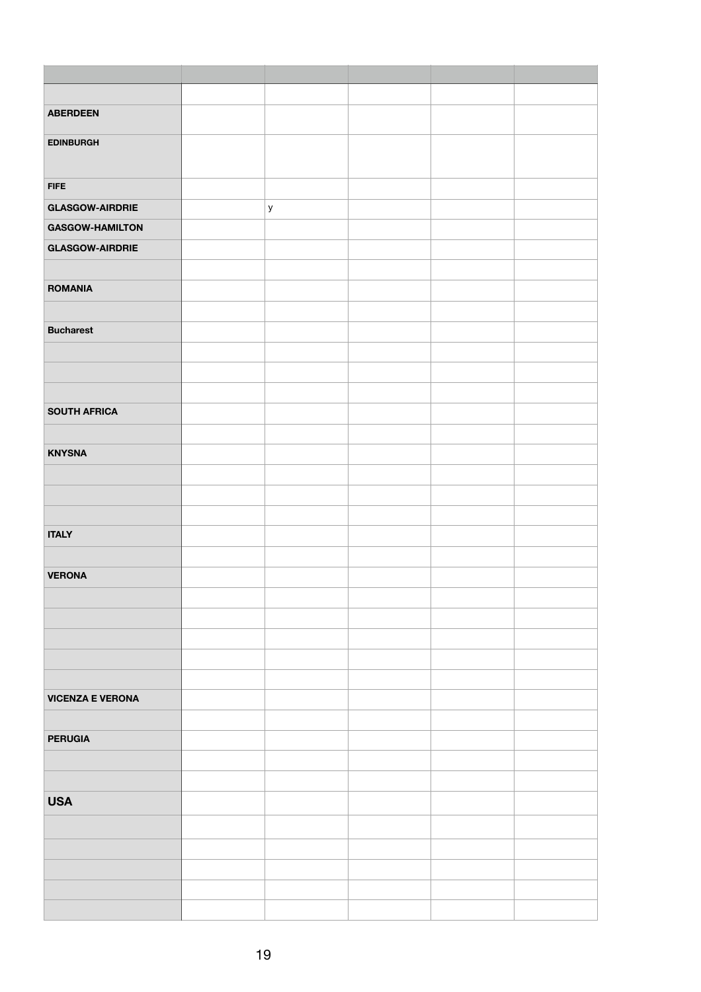| <b>ABERDEEN</b>         |              |  |  |
|-------------------------|--------------|--|--|
|                         |              |  |  |
| <b>EDINBURGH</b>        |              |  |  |
|                         |              |  |  |
| <b>FIFE</b>             |              |  |  |
|                         |              |  |  |
| <b>GLASGOW-AIRDRIE</b>  | $\mathsf{y}$ |  |  |
| <b>GASGOW-HAMILTON</b>  |              |  |  |
| <b>GLASGOW-AIRDRIE</b>  |              |  |  |
|                         |              |  |  |
| <b>ROMANIA</b>          |              |  |  |
|                         |              |  |  |
| <b>Bucharest</b>        |              |  |  |
|                         |              |  |  |
|                         |              |  |  |
|                         |              |  |  |
|                         |              |  |  |
| <b>SOUTH AFRICA</b>     |              |  |  |
|                         |              |  |  |
| <b>KNYSNA</b>           |              |  |  |
|                         |              |  |  |
|                         |              |  |  |
|                         |              |  |  |
| <b>ITALY</b>            |              |  |  |
|                         |              |  |  |
| <b>VERONA</b>           |              |  |  |
|                         |              |  |  |
|                         |              |  |  |
|                         |              |  |  |
|                         |              |  |  |
|                         |              |  |  |
|                         |              |  |  |
| <b>VICENZA E VERONA</b> |              |  |  |
|                         |              |  |  |
| <b>PERUGIA</b>          |              |  |  |
|                         |              |  |  |
|                         |              |  |  |
| <b>USA</b>              |              |  |  |
|                         |              |  |  |
|                         |              |  |  |
|                         |              |  |  |
|                         |              |  |  |
|                         |              |  |  |
|                         |              |  |  |